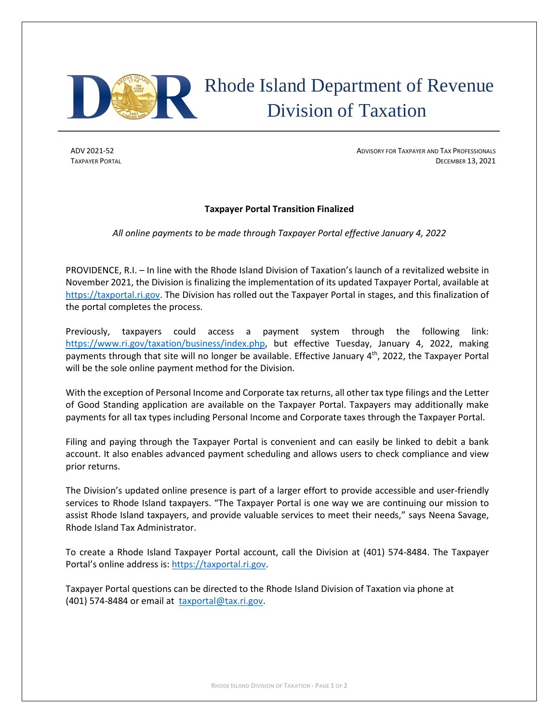

# Rhode Island Department of Revenue Division of Taxation

ADV 2021-52 **ADVISORY FOR TAXPAYER AND TAX PROFESSIONALS ADVISORY FOR TAXPAYER AND TAX PROFESSIONALS TAXPAYER PORTAL DECEMBER 13, 2021** 

## **Taxpayer Portal Transition Finalized**

*All online payments to be made through Taxpayer Portal effective January 4, 2022*

PROVIDENCE, R.I. – In line with the Rhode Island Division of Taxation's launch of a revitalized website in November 2021, the Division is finalizing the implementation of its updated Taxpayer Portal, available at [https://taxportal.ri.gov.](https://taxportal.ri.gov/) The Division has rolled out the Taxpayer Portal in stages, and this finalization of the portal completes the process.

Previously, taxpayers could access a payment system through the following link: [https://www.ri.gov/taxation/business/index.php,](https://www.ri.gov/taxation/business/index.php) but effective Tuesday, January 4, 2022, making payments through that site will no longer be available. Effective January 4<sup>th</sup>, 2022, the Taxpayer Portal will be the sole online payment method for the Division.

With the exception of Personal Income and Corporate tax returns, all other tax type filings and the Letter of Good Standing application are available on the Taxpayer Portal. Taxpayers may additionally make payments for all tax types including Personal Income and Corporate taxes through the Taxpayer Portal.

Filing and paying through the Taxpayer Portal is convenient and can easily be linked to debit a bank account. It also enables advanced payment scheduling and allows users to check compliance and view prior returns.

The Division's updated online presence is part of a larger effort to provide accessible and user-friendly services to Rhode Island taxpayers. "The Taxpayer Portal is one way we are continuing our mission to assist Rhode Island taxpayers, and provide valuable services to meet their needs," says Neena Savage, Rhode Island Tax Administrator.

To create a Rhode Island Taxpayer Portal account, call the Division at (401) 574-8484. The Taxpayer Portal's online address is: [https://taxportal.ri.gov.](https://taxportal.ri.gov/)

Taxpayer Portal questions can be directed to the Rhode Island Division of Taxation via phone at (401) 574-8484 or email at [taxportal@tax.ri.gov.](mailto:taxportal@tax.ri.gov)